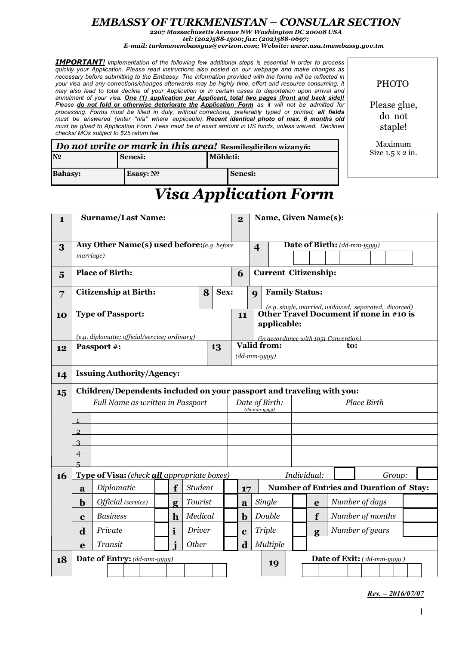## *EMBASSY OF TURKMENISTAN – CONSULAR SECTION*

*2207 Massachusetts Avenue NW Washington DC 20008 USA tel: (202)588-1500; fax: (202)588-0697;*

*E-mail: turkmenembassyus@verizon.com; Website: www.usa.tmembassy.gov.tm*

*IMPORTANT! Implementation of the following few additional steps is essential in order to process quickly your Application. Please read instructions also posted on our webpage and make changes as necessary before submitting to the Embassy. The information provided with the forms will be reflected in your visa and any corrections/changes afterwards may be highly time, effort and resource consuming. It* may also lead to total decline of your Application or in certain cases to deportation upon arrival and *annulment of your visa. One (1) application per Applicant, total two pages (front and back side)! Please do not fold or otherwise deteriorate the Application Form as it will not be admitted for processing. Forms must be filled in duly, without corrections, preferably typed or printed, all fields must be answered (enter "n/a" where applicable). Recent identical photo of max. 6 months old* must be glued to Application Form. Fees must be of exact amount in US funds, unless waived. Declined *checks/ MOs subject to \$25 return fee.*

PHOTO

Please glue, do not staple!

Maximum Size 1.5 x 2 in.

| Do not write or mark in this area! Resmilesdirilen wizanyň: |                     |          |                |  |  |  |  |  |
|-------------------------------------------------------------|---------------------|----------|----------------|--|--|--|--|--|
| N <sub>0</sub>                                              | <b>Senesi:</b>      | Möhleti: |                |  |  |  |  |  |
| <b>Bahasy:</b>                                              | Esasy: $N^{\Omega}$ |          | <b>Senesi:</b> |  |  |  |  |  |

## *Visa Application Form*

| $\mathbf{1}$    | <b>Surname/Last Name:</b>                                       |                                                                       |              |              |               |                |             | $\overline{\mathbf{2}}$                             |                                   |                                                     | Name, Given Name(s):  |                                                                                                                              |                                                    |              |                                    |                  |  |  |  |  |  |  |
|-----------------|-----------------------------------------------------------------|-----------------------------------------------------------------------|--------------|--------------|---------------|----------------|-------------|-----------------------------------------------------|-----------------------------------|-----------------------------------------------------|-----------------------|------------------------------------------------------------------------------------------------------------------------------|----------------------------------------------------|--------------|------------------------------------|------------------|--|--|--|--|--|--|
| 3               | <b>Any Other Name(s) used before:</b> (e.g. before<br>marriage) |                                                                       |              |              |               |                |             |                                                     |                                   | $\overline{\mathbf{4}}$                             |                       |                                                                                                                              |                                                    |              | <b>Date of Birth:</b> (dd-mm-yyyy) |                  |  |  |  |  |  |  |
| $5\overline{)}$ | <b>Place of Birth:</b>                                          |                                                                       |              |              |               |                |             |                                                     |                                   |                                                     |                       | <b>Current Citizenship:</b>                                                                                                  |                                                    |              |                                    |                  |  |  |  |  |  |  |
| 7               | <b>Citizenship at Birth:</b><br>8                               |                                                                       |              |              |               |                | Sex:        |                                                     |                                   | $\boldsymbol{Q}$                                    | <b>Family Status:</b> |                                                                                                                              |                                                    |              |                                    |                  |  |  |  |  |  |  |
| 10              | <b>Type of Passport:</b>                                        |                                                                       |              |              |               |                |             | 11                                                  |                                   |                                                     |                       | <i>Le.g. single, married, widowed, separated, divorced)</i><br><b>Other Travel Document if none in #10 is</b><br>applicable: |                                                    |              |                                    |                  |  |  |  |  |  |  |
|                 | (e.g. diplomatic; official/service; ordinary)                   |                                                                       |              |              |               |                |             |                                                     |                                   | (in accordance with 1951 Convention)<br>Valid from: |                       |                                                                                                                              |                                                    |              |                                    |                  |  |  |  |  |  |  |
| 12              | Passport #:<br>13                                               |                                                                       |              |              |               |                |             |                                                     |                                   |                                                     |                       |                                                                                                                              |                                                    | to:          |                                    |                  |  |  |  |  |  |  |
|                 |                                                                 |                                                                       |              |              |               |                |             |                                                     | $(dd{\text{-}}\textit{mm-}$ yyyy) |                                                     |                       |                                                                                                                              |                                                    |              |                                    |                  |  |  |  |  |  |  |
| 14              | <b>Issuing Authority/Agency:</b>                                |                                                                       |              |              |               |                |             |                                                     |                                   |                                                     |                       |                                                                                                                              |                                                    |              |                                    |                  |  |  |  |  |  |  |
| 15              |                                                                 | Children/Dependents included on your passport and traveling with you: |              |              |               |                |             |                                                     |                                   |                                                     |                       |                                                                                                                              |                                                    |              |                                    |                  |  |  |  |  |  |  |
|                 | Full Name as written in Passport                                |                                                                       |              |              |               |                |             | Date of Birth:<br>$(dd{\text{-}}\textit{mm-}$ uuuu) |                                   |                                                     |                       | <b>Place Birth</b>                                                                                                           |                                                    |              |                                    |                  |  |  |  |  |  |  |
|                 | $\mathbf{1}$                                                    |                                                                       |              |              |               |                |             |                                                     |                                   |                                                     |                       |                                                                                                                              |                                                    |              |                                    |                  |  |  |  |  |  |  |
|                 | $\overline{2}$                                                  |                                                                       |              |              |               |                |             |                                                     |                                   |                                                     |                       |                                                                                                                              |                                                    |              |                                    |                  |  |  |  |  |  |  |
|                 | $\overline{3}$                                                  |                                                                       |              |              |               |                |             |                                                     |                                   |                                                     |                       |                                                                                                                              |                                                    |              |                                    |                  |  |  |  |  |  |  |
|                 | $\overline{\mathcal{A}}$                                        |                                                                       |              |              |               |                |             |                                                     |                                   |                                                     |                       |                                                                                                                              |                                                    |              |                                    |                  |  |  |  |  |  |  |
|                 | $\overline{5}$                                                  |                                                                       |              |              |               |                |             |                                                     |                                   |                                                     |                       |                                                                                                                              |                                                    |              |                                    |                  |  |  |  |  |  |  |
| 16              | Type of Visa: (check all appropriate boxes)                     |                                                                       |              |              |               |                |             |                                                     |                                   |                                                     |                       | Individual:<br>Group:                                                                                                        |                                                    |              |                                    |                  |  |  |  |  |  |  |
|                 | $\mathbf a$                                                     | Diplomatic                                                            |              | f            |               | <b>Student</b> |             |                                                     | 17                                |                                                     |                       |                                                                                                                              | <b>Number of Entries and Duration of Stay:</b>     |              |                                    |                  |  |  |  |  |  |  |
|                 | $\mathbf b$                                                     | Official (service)                                                    | Tourist<br>g |              |               |                | Single<br>a |                                                     |                                   |                                                     | e                     |                                                                                                                              | Number of days                                     |              |                                    |                  |  |  |  |  |  |  |
|                 | $\mathbf c$                                                     | <b>Business</b>                                                       |              | $\mathbf h$  |               | Medical        |             | b                                                   |                                   |                                                     | Double                |                                                                                                                              |                                                    | f            |                                    | Number of months |  |  |  |  |  |  |
|                 | d                                                               | Private                                                               |              | $\mathbf{i}$ | <b>Driver</b> |                |             |                                                     | $\mathbf c$                       | <b>Triple</b>                                       |                       |                                                                                                                              |                                                    | $\mathbf{g}$ |                                    | Number of years  |  |  |  |  |  |  |
|                 | e                                                               | Transit                                                               |              |              | Other         |                |             |                                                     | $\mathbf d$                       |                                                     | Multiple              |                                                                                                                              |                                                    |              |                                    |                  |  |  |  |  |  |  |
| 18              | Date of Entry: (dd-mm-yyyy)                                     |                                                                       |              |              |               |                |             | 19                                                  |                                   |                                                     |                       |                                                                                                                              | <b>Date of Exit:</b> ( $dd\text{-}mm\text{-}yyy$ ) |              |                                    |                  |  |  |  |  |  |  |